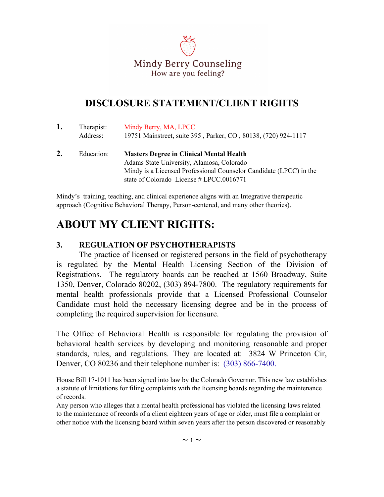

## **DISCLOSURE STATEMENT/CLIENT RIGHTS**

| 1. | Therapist:<br>Address: | Mindy Berry, MA, LPCC<br>19751 Mainstreet, suite 395, Parker, CO, 80138, (720) 924-1117 |
|----|------------------------|-----------------------------------------------------------------------------------------|
|    | Education:             | <b>Masters Degree in Clinical Mental Health</b>                                         |
|    |                        | Adams State University, Alamosa, Colorado                                               |
|    |                        | Mindy is a Licensed Professional Counselor Candidate (LPCC) in the                      |
|    |                        | state of Colorado License $\#$ LPCC.0016771                                             |

Mindy's training, teaching, and clinical experience aligns with an Integrative therapeutic approach (Cognitive Behavioral Therapy, Person-centered, and many other theories).

# **ABOUT MY CLIENT RIGHTS:**

#### **3. REGULATION OF PSYCHOTHERAPISTS**

The practice of licensed or registered persons in the field of psychotherapy is regulated by the Mental Health Licensing Section of the Division of Registrations. The regulatory boards can be reached at 1560 Broadway, Suite 1350, Denver, Colorado 80202, (303) 894-7800. The regulatory requirements for mental health professionals provide that a Licensed Professional Counselor Candidate must hold the necessary licensing degree and be in the process of completing the required supervision for licensure.

The Office of Behavioral Health is responsible for regulating the provision of behavioral health services by developing and monitoring reasonable and proper standards, rules, and regulations. They are located at: 3824 W Princeton Cir, Denver, CO 80236 and their telephone number is: (303) 866-7400.

House Bill 17-1011 has been signed into law by the Colorado Governor. This new law establishes a statute of limitations for filing complaints with the licensing boards regarding the maintenance of records.

Any person who alleges that a mental health professional has violated the licensing laws related to the maintenance of records of a client eighteen years of age or older, must file a complaint or other notice with the licensing board within seven years after the person discovered or reasonably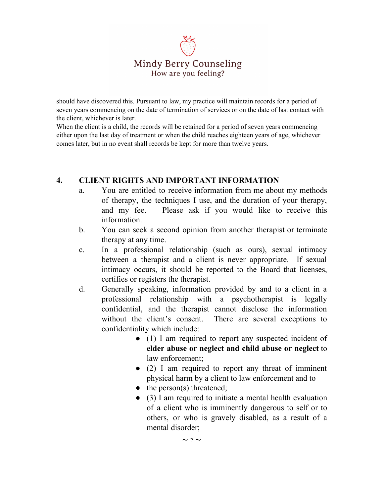

should have discovered this. Pursuant to law, my practice will maintain records for a period of seven years commencing on the date of termination of services or on the date of last contact with the client, whichever is later.

When the client is a child, the records will be retained for a period of seven years commencing either upon the last day of treatment or when the child reaches eighteen years of age, whichever comes later, but in no event shall records be kept for more than twelve years.

#### **4. CLIENT RIGHTS AND IMPORTANT INFORMATION**

- a. You are entitled to receive information from me about my methods of therapy, the techniques I use, and the duration of your therapy, and my fee. Please ask if you would like to receive this information.
- b. You can seek a second opinion from another therapist or terminate therapy at any time.
- c. In a professional relationship (such as ours), sexual intimacy between a therapist and a client is never appropriate. If sexual intimacy occurs, it should be reported to the Board that licenses, certifies or registers the therapist.
- d. Generally speaking, information provided by and to a client in a professional relationship with a psychotherapist is legally confidential, and the therapist cannot disclose the information without the client's consent. There are several exceptions to confidentiality which include:
	- (1) I am required to report any suspected incident of **elder abuse or neglect and child abuse or neglect** to law enforcement;
	- (2) I am required to report any threat of imminent physical harm by a client to law enforcement and to
	- $\bullet$  the person(s) threatened;
	- (3) I am required to initiate a mental health evaluation of a client who is imminently dangerous to self or to others, or who is gravely disabled, as a result of a mental disorder;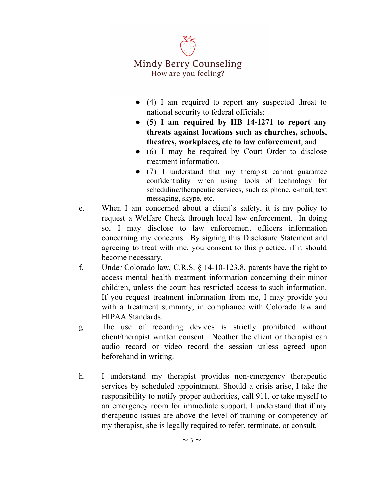# Mindy Berry Counseling How are you feeling?

- (4) I am required to report any suspected threat to national security to federal officials;
- **(5) I am required by HB 14-1271 to report any threats against locations such as churches, schools, theatres, workplaces, etc to law enforcement**, and
- (6) I may be required by Court Order to disclose treatment information.
- (7) I understand that my therapist cannot guarantee confidentiality when using tools of technology for scheduling/therapeutic services, such as phone, e-mail, text messaging, skype, etc.
- e. When I am concerned about a client's safety, it is my policy to request a Welfare Check through local law enforcement. In doing so, I may disclose to law enforcement officers information concerning my concerns. By signing this Disclosure Statement and agreeing to treat with me, you consent to this practice, if it should become necessary.
- f. Under Colorado law, C.R.S. § 14-10-123.8, parents have the right to access mental health treatment information concerning their minor children, unless the court has restricted access to such information. If you request treatment information from me, I may provide you with a treatment summary, in compliance with Colorado law and HIPAA Standards.
- g. The use of recording devices is strictly prohibited without client/therapist written consent. Neother the client or therapist can audio record or video record the session unless agreed upon beforehand in writing.
- h. I understand my therapist provides non-emergency therapeutic services by scheduled appointment. Should a crisis arise, I take the responsibility to notify proper authorities, call 911, or take myself to an emergency room for immediate support. I understand that if my therapeutic issues are above the level of training or competency of my therapist, she is legally required to refer, terminate, or consult.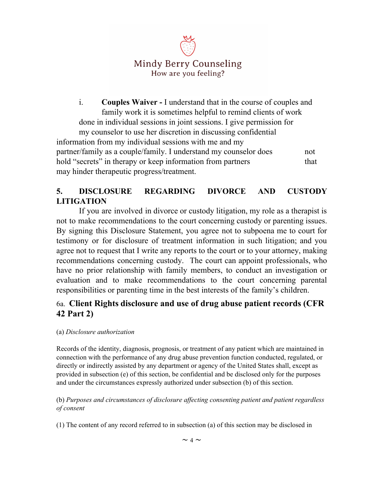

i. **Couples Waiver -** I understand that in the course of couples and family work it is sometimes helpful to remind clients of work done in individual sessions in joint sessions. I give permission for my counselor to use her discretion in discussing confidential information from my individual sessions with me and my partner/family as a couple/family. I understand my counselor does not hold "secrets" in therapy or keep information from partners that may hinder therapeutic progress/treatment.

## **5. DISCLOSURE REGARDING DIVORCE AND CUSTODY LITIGATION**

If you are involved in divorce or custody litigation, my role as a therapist is not to make recommendations to the court concerning custody or parenting issues. By signing this Disclosure Statement, you agree not to subpoena me to court for testimony or for disclosure of treatment information in such litigation; and you agree not to request that I write any reports to the court or to your attorney, making recommendations concerning custody. The court can appoint professionals, who have no prior relationship with family members, to conduct an investigation or evaluation and to make recommendations to the court concerning parental responsibilities or parenting time in the best interests of the family's children.

## 6a. **Client Rights disclosure and use of drug abuse patient records (CFR 42 Part 2)**

#### (a) *Disclosure authorization*

Records of the identity, diagnosis, prognosis, or treatment of any patient which are maintained in connection with the performance of any drug abuse prevention function conducted, regulated, or directly or indirectly assisted by any department or agency of the United States shall, except as provided in subsection (e) of this section, be confidential and be disclosed only for the purposes and under the circumstances expressly authorized under subsection (b) of this section.

(b) *Purposes and circumstances of disclosure af ecting consenting patient and patient regardless of consent*

(1) The content of any record referred to in subsection (a) of this section may be disclosed in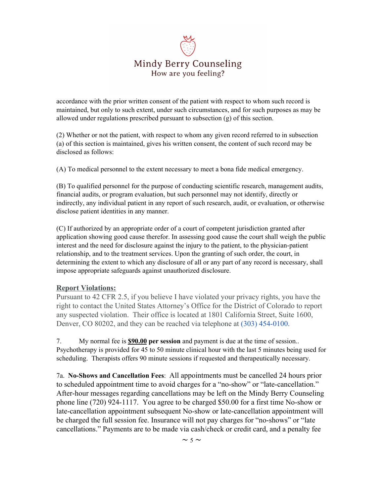

accordance with the prior written consent of the patient with respect to whom such record is maintained, but only to such extent, under such circumstances, and for such purposes as may be allowed under regulations prescribed pursuant to subsection (g) of this section.

(2) Whether or not the patient, with respect to whom any given record referred to in subsection (a) of this section is maintained, gives his written consent, the content of such record may be disclosed as follows:

(A) To medical personnel to the extent necessary to meet a bona fide medical emergency.

(B) To qualified personnel for the purpose of conducting scientific research, management audits, financial audits, or program evaluation, but such personnel may not identify, directly or indirectly, any individual patient in any report of such research, audit, or evaluation, or otherwise disclose patient identities in any manner.

(C) If authorized by an appropriate order of a court of competent jurisdiction granted after application showing good cause therefor. In assessing good cause the court shall weigh the public interest and the need for disclosure against the injury to the patient, to the physician-patient relationship, and to the treatment services. Upon the granting of such order, the court, in determining the extent to which any disclosure of all or any part of any record is necessary, shall impose appropriate safeguards against unauthorized disclosure.

#### **Report Violations:**

Pursuant to 42 CFR 2.5, if you believe I have violated your privacy rights, you have the right to contact the United States Attorney's Office for the District of Colorado to report any suspected violation. Their office is located at 1801 California Street, Suite 1600, Denver, CO 80202, and they can be reached via telephone at (303) 454-0100.

7. My normal fee is **\$90.00 per session** and payment is due at the time of session.. Psychotherapy is provided for 45 to 50 minute clinical hour with the last 5 minutes being used for scheduling. Therapists offers 90 minute sessions if requested and therapeutically necessary.

7a. **No-Shows and Cancellation Fees**: All appointments must be cancelled 24 hours prior to scheduled appointment time to avoid charges for a "no-show" or "late-cancellation." After-hour messages regarding cancellations may be left on the Mindy Berry Counseling phone line (720) 924-1117. You agree to be charged \$50.00 for a first time No-show or late-cancellation appointment subsequent No-show or late-cancellation appointment will be charged the full session fee. Insurance will not pay charges for "no-shows" or "late cancellations." Payments are to be made via cash/check or credit card, and a penalty fee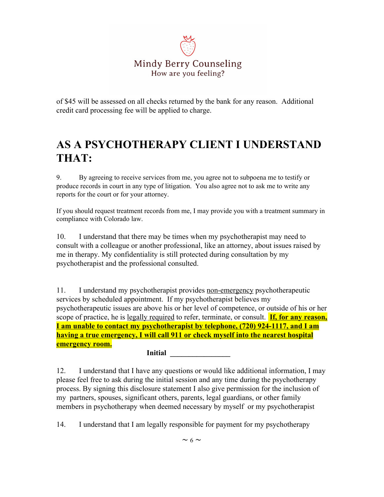

of \$45 will be assessed on all checks returned by the bank for any reason. Additional credit card processing fee will be applied to charge.

# **AS A PSYCHOTHERAPY CLIENT I UNDERSTAND THAT:**

9. By agreeing to receive services from me, you agree not to subpoena me to testify or produce records in court in any type of litigation. You also agree not to ask me to write any reports for the court or for your attorney.

If you should request treatment records from me, I may provide you with a treatment summary in compliance with Colorado law.

10. I understand that there may be times when my psychotherapist may need to consult with a colleague or another professional, like an attorney, about issues raised by me in therapy. My confidentiality is still protected during consultation by my psychotherapist and the professional consulted.

11. I understand my psychotherapist provides non-emergency psychotherapeutic services by scheduled appointment. If my psychotherapist believes my psychotherapeutic issues are above his or her level of competence, or outside of his or her scope of practice, he is legally required to refer, terminate, or consult. **If, for any reason, I am unable to contact my psychotherapist by telephone, (720) 924-1117, and I am having a true emergency, I will call 911 or check myself into the nearest hospital emergency room.**

**Initial** 

12. I understand that I have any questions or would like additional information, I may please feel free to ask during the initial session and any time during the psychotherapy process. By signing this disclosure statement I also give permission for the inclusion of my partners, spouses, significant others, parents, legal guardians, or other family members in psychotherapy when deemed necessary by myself or my psychotherapist

14. I understand that I am legally responsible for payment for my psychotherapy